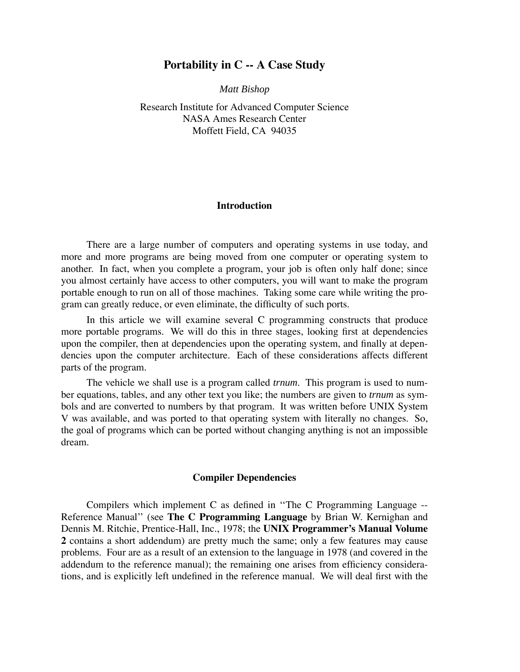## **Portability in C -- A Case Study**

*Matt Bishop*

Research Institute for Advanced Computer Science NASA Ames Research Center Moffett Field, CA 94035

### **Introduction**

There are a large number of computers and operating systems in use today, and more and more programs are being moved from one computer or operating system to another. In fact, when you complete a program, your job is often only half done; since you almost certainly have access to other computers, you will want to make the program portable enough to run on all of those machines. Taking some care while writing the program can greatly reduce, or even eliminate, the difficulty of such ports.

In this article we will examine several C programming constructs that produce more portable programs. We will do this in three stages, looking first at dependencies upon the compiler, then at dependencies upon the operating system, and finally at dependencies upon the computer architecture. Each of these considerations affects different parts of the program.

The vehicle we shall use is a program called *trnum*. This program is used to number equations, tables, and any other text you like; the numbers are given to *trnum* as symbols and are converted to numbers by that program. It was written before UNIX System V was available, and was ported to that operating system with literally no changes. So, the goal of programs which can be ported without changing anything is not an impossible dream.

#### **Compiler Dependencies**

Compilers which implement C as defined in ''The C Programming Language -- Reference Manual'' (see **The C Programming Language** by Brian W. Kernighan and Dennis M. Ritchie, Prentice-Hall, Inc., 1978; the **UNIX Programmer's Manual Volume 2** contains a short addendum) are pretty much the same; only a few features may cause problems. Four are as a result of an extension to the language in 1978 (and covered in the addendum to the reference manual); the remaining one arises from efficiency considerations, and is explicitly left undefined in the reference manual. We will deal first with the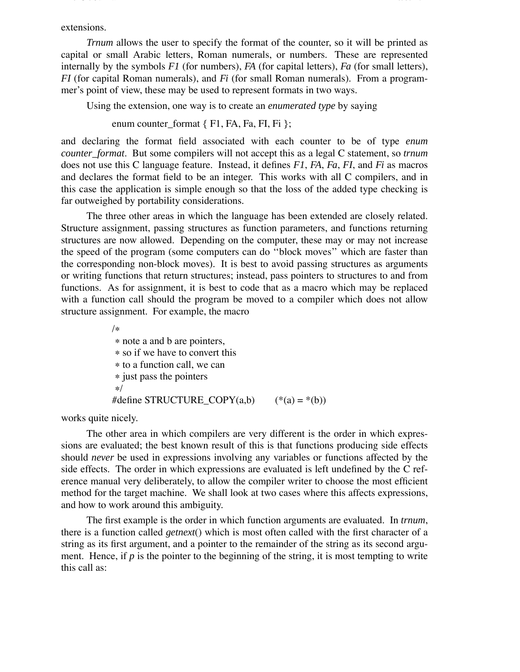extensions.

*Trnum* allows the user to specify the format of the counter, so it will be printed as capital or small Arabic letters, Roman numerals, or numbers. These are represented internally by the symbols *F1* (for numbers), *FA* (for capital letters), *Fa* (for small letters), *FI* (for capital Roman numerals), and *Fi* (for small Roman numerals). From a programmer's point of view, these may be used to represent formats in two ways.

The C Journal 2 8/5/104

Using the extension, one way is to create an *enumerated type* by saying

enum counter format  $\{ F1, FA, Fa, FI, Fi \}$ ;

and declaring the format field associated with each counter to be of type *enum counter\_format*. But some compilers will not accept this as a legal C statement, so *trnum* does not use this C language feature. Instead, it defines *F1*, *FA*, *Fa*, *FI*, and *Fi* as macros and declares the format field to be an integer. This works with all C compilers, and in this case the application is simple enough so that the loss of the added type checking is far outweighed by portability considerations.

The three other areas in which the language has been extended are closely related. Structure assignment, passing structures as function parameters, and functions returning structures are now allowed. Depending on the computer, these may or may not increase the speed of the program (some computers can do ''block moves'' which are faster than the corresponding non-block moves). It is best to avoid passing structures as arguments or writing functions that return structures; instead, pass pointers to structures to and from functions. As for assignment, it is best to code that as a macro which may be replaced with a function call should the program be moved to a compiler which does not allow structure assignment. For example, the macro

> /∗ ∗ note a and b are pointers, ∗ so if we have to convert this ∗ to a function call, we can ∗ just pass the pointers ∗/ #define STRUCTURE\_COPY(a,b)  $(*(a) = * (b))$

works quite nicely.

The other area in which compilers are very different is the order in which expressions are evaluated; the best known result of this is that functions producing side effects should *never* be used in expressions involving any variables or functions affected by the side effects. The order in which expressions are evaluated is left undefined by the C reference manual very deliberately, to allow the compiler writer to choose the most efficient method for the target machine. We shall look at two cases where this affects expressions, and how to work around this ambiguity.

The first example is the order in which function arguments are evaluated. In *trnum*, there is a function called *getnext*() which is most often called with the first character of a string as its first argument, and a pointer to the remainder of the string as its second argument. Hence, if  $p$  is the pointer to the beginning of the string, it is most tempting to write this call as: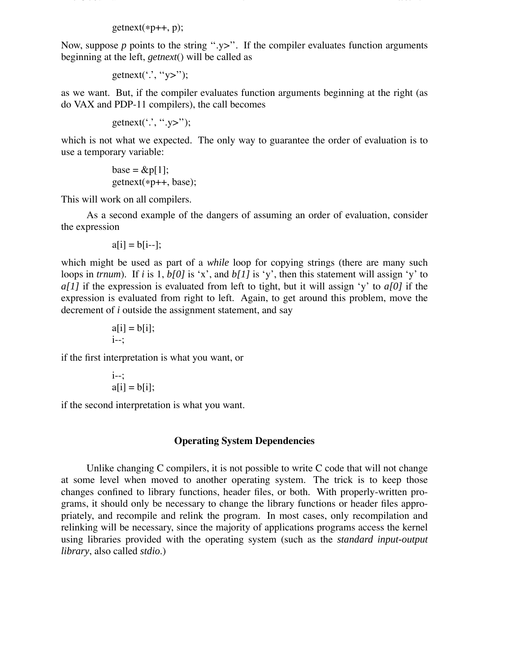$getnext(*p++, p);$ 

Now, suppose  $p$  points to the string " $y$ ". If the compiler evaluates function arguments beginning at the left, *getnext*() will be called as

The C Journal 3 8/5/104 (1992) in the C Journal 3 8/5/104 (1993) in the C Journal 3 8/5/104 (1994) in the C Journal 3 8/5/104 (1994) in the C Journal 3 8/5/104 (1994) in the C Journal 3 8/5/104 (1994) in the C Journal 3 8/

getnext('.', "y>");

as we want. But, if the compiler evaluates function arguments beginning at the right (as do VAX and PDP-11 compilers), the call becomes

getnext('', ".y>");

which is not what we expected. The only way to guarantee the order of evaluation is to use a temporary variable:

> base =  $\&p[1]$ ; getnext(∗p++, base);

This will work on all compilers.

As a second example of the dangers of assuming an order of evaluation, consider the expression

$$
a[i] = b[i-];
$$

which might be used as part of a *while* loop for copying strings (there are many such loops in *trnum*). If *i* is 1, *b[0]* is 'x', and *b[1]* is 'y', then this statement will assign 'y' to *a[1]* if the expression is evaluated from left to tight, but it will assign 'y' to *a[0]* if the expression is evaluated from right to left. Again, to get around this problem, move the decrement of *i* outside the assignment statement, and say

$$
a[i] = b[i];
$$
  
i--;

if the first interpretation is what you want, or

$$
\begin{aligned}\ni &\text{--};\\ a[i] &= b[i];\end{aligned}
$$

if the second interpretation is what you want.

# **Operating System Dependencies**

Unlike changing C compilers, it is not possible to write C code that will not change at some level when moved to another operating system. The trick is to keep those changes confined to library functions, header files, or both. With properly-written programs, it should only be necessary to change the library functions or header files appropriately, and recompile and relink the program. In most cases, only recompilation and relinking will be necessary, since the majority of applications programs access the kernel using libraries provided with the operating system (such as the *standard input-output library*, also called *stdio*.)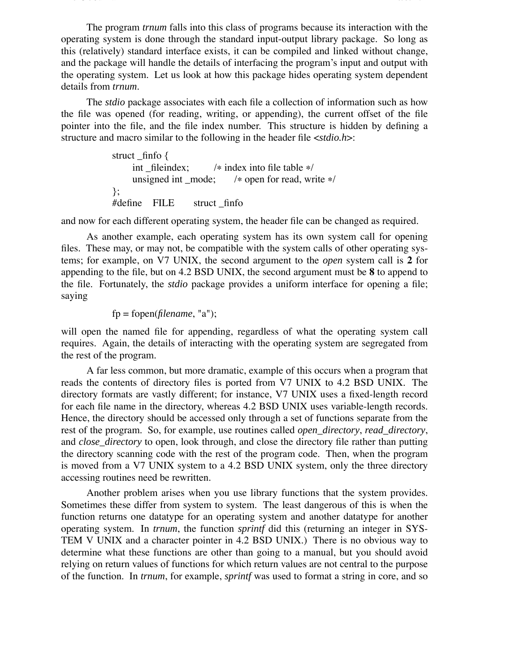The program *trnum* falls into this class of programs because its interaction with the operating system is done through the standard input-output library package. So long as this (relatively) standard interface exists, it can be compiled and linked without change, and the package will handle the details of interfacing the program's input and output with the operating system. Let us look at how this package hides operating system dependent details from *trnum*.

The C Journal 4 8/5/104 (1991) and the C Journal 4 8/5/104 (1991) and the C Journal 4 8/5/104 (1991) and the C

The *stdio* package associates with each file a collection of information such as how the file was opened (for reading, writing, or appending), the current offset of the file pointer into the file, and the file index number. This structure is hidden by defining a structure and macro similar to the following in the header file <*stdio.h*>:

```
struct finfo {
      int _fileindex; /* index into file table */<br>unsigned int mode; /* open for read, write
                                       /* open for read, write */
};
#define FILE struct _finfo
```
and now for each different operating system, the header file can be changed as required.

As another example, each operating system has its own system call for opening files. These may, or may not, be compatible with the system calls of other operating systems; for example, on V7 UNIX, the second argument to the *open* system call is **2** for appending to the file, but on 4.2 BSD UNIX, the second argument must be **8** to append to the file. Fortunately, the *stdio* package provides a uniform interface for opening a file; saying

fp = fopen(*filename*, "a");

will open the named file for appending, regardless of what the operating system call requires. Again, the details of interacting with the operating system are segregated from the rest of the program.

A far less common, but more dramatic, example of this occurs when a program that reads the contents of directory files is ported from V7 UNIX to 4.2 BSD UNIX. The directory formats are vastly different; for instance, V7 UNIX uses a fixed-length record for each file name in the directory, whereas 4.2 BSD UNIX uses variable-length records. Hence, the directory should be accessed only through a set of functions separate from the rest of the program. So, for example, use routines called *open\_directory*, *read\_directory*, and *close\_directory* to open, look through, and close the directory file rather than putting the directory scanning code with the rest of the program code. Then, when the program is moved from a V7 UNIX system to a 4.2 BSD UNIX system, only the three directory accessing routines need be rewritten.

Another problem arises when you use library functions that the system provides. Sometimes these differ from system to system. The least dangerous of this is when the function returns one datatype for an operating system and another datatype for another operating system. In *trnum*, the function *sprintf* did this (returning an integer in SYS-TEM V UNIX and a character pointer in 4.2 BSD UNIX.) There is no obvious way to determine what these functions are other than going to a manual, but you should avoid relying on return values of functions for which return values are not central to the purpose of the function. In *trnum*, for example, *sprintf* was used to format a string in core, and so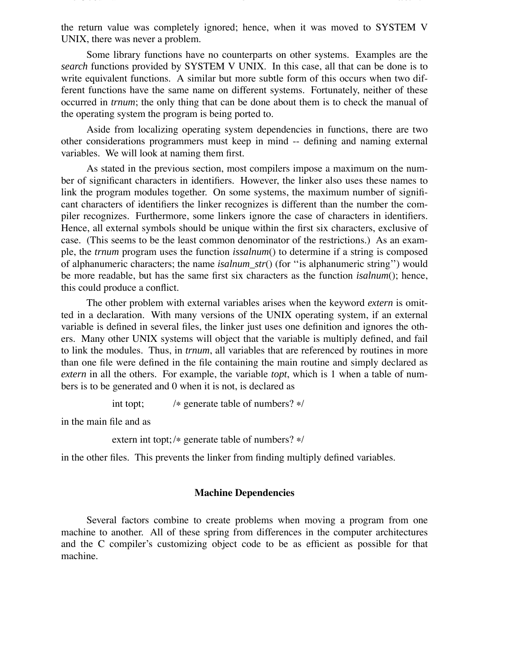the return value was completely ignored; hence, when it was moved to SYSTEM V UNIX, there was never a problem.

The C Journal 5 8/5/104 (1995) in the C Journal 5 8/5/104 (1995) in the C Journal 5 8/5/104 (1995) in the C Journal of the C Journal of the C Journal of the C Journal of the C Journal of the C Journal of the C Journal of t

Some library functions have no counterparts on other systems. Examples are the *search* functions provided by SYSTEM V UNIX. In this case, all that can be done is to write equivalent functions. A similar but more subtle form of this occurs when two different functions have the same name on different systems. Fortunately, neither of these occurred in *trnum*; the only thing that can be done about them is to check the manual of the operating system the program is being ported to.

Aside from localizing operating system dependencies in functions, there are two other considerations programmers must keep in mind -- defining and naming external variables. We will look at naming them first.

As stated in the previous section, most compilers impose a maximum on the number of significant characters in identifiers. However, the linker also uses these names to link the program modules together. On some systems, the maximum number of significant characters of identifiers the linker recognizes is different than the number the compiler recognizes. Furthermore, some linkers ignore the case of characters in identifiers. Hence, all external symbols should be unique within the first six characters, exclusive of case. (This seems to be the least common denominator of the restrictions.) As an example, the *trnum* program uses the function *issalnum*() to determine if a string is composed of alphanumeric characters; the name *isalnum\_str*() (for ''is alphanumeric string'') would be more readable, but has the same first six characters as the function *isalnum*(); hence, this could produce a conflict.

The other problem with external variables arises when the keyword *extern* is omitted in a declaration. With many versions of the UNIX operating system, if an external variable is defined in several files, the linker just uses one definition and ignores the others. Many other UNIX systems will object that the variable is multiply defined, and fail to link the modules. Thus, in *trnum*, all variables that are referenced by routines in more than one file were defined in the file containing the main routine and simply declared as *extern* in all the others. For example, the variable *topt*, which is 1 when a table of numbers is to be generated and 0 when it is not, is declared as

int topt; /∗ generate table of numbers? ∗/

in the main file and as

extern int topt; /∗ generate table of numbers? ∗/

in the other files. This prevents the linker from finding multiply defined variables.

### **Machine Dependencies**

Several factors combine to create problems when moving a program from one machine to another. All of these spring from differences in the computer architectures and the C compiler's customizing object code to be as efficient as possible for that machine.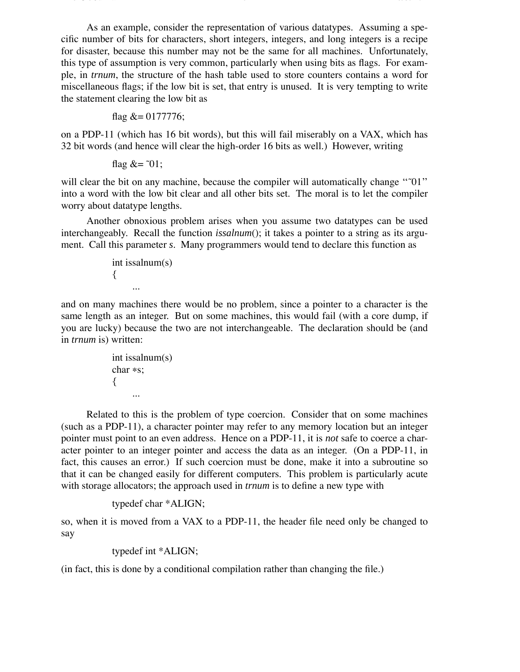As an example, consider the representation of various datatypes. Assuming a specific number of bits for characters, short integers, integers, and long integers is a recipe for disaster, because this number may not be the same for all machines. Unfortunately, this type of assumption is very common, particularly when using bits as flags. For example, in *trnum*, the structure of the hash table used to store counters contains a word for miscellaneous flags; if the low bit is set, that entry is unused. It is very tempting to write the statement clearing the low bit as

The C Journal 6 8/5/104 (1991) and the C Journal 6 8/5/104 (1991) and the C Journal of C Journal 6 8/5/104 (19

flag &= 0177776;

on a PDP-11 (which has 16 bit words), but this will fail miserably on a VAX, which has 32 bit words (and hence will clear the high-order 16 bits as well.) However, writing

flag  $&=$   $\tilde{0}$ 1;

will clear the bit on any machine, because the compiler will automatically change "~01" into a word with the low bit clear and all other bits set. The moral is to let the compiler worry about datatype lengths.

Another obnoxious problem arises when you assume two datatypes can be used interchangeably. Recall the function *issalnum*(); it takes a pointer to a string as its argument. Call this parameter *s*. Many programmers would tend to declare this function as

```
int issalnum(s)
{
     ...
```
and on many machines there would be no problem, since a pointer to a character is the same length as an integer. But on some machines, this would fail (with a core dump, if you are lucky) because the two are not interchangeable. The declaration should be (and in *trnum* is) written:

```
int issalnum(s)
char ∗s;
{
     ...
```
Related to this is the problem of type coercion. Consider that on some machines (such as a PDP-11), a character pointer may refer to any memory location but an integer pointer must point to an even address. Hence on a PDP-11, it is *not* safe to coerce a character pointer to an integer pointer and access the data as an integer. (On a PDP-11, in fact, this causes an error.) If such coercion must be done, make it into a subroutine so that it can be changed easily for different computers. This problem is particularly acute with storage allocators; the approach used in *trnum* is to define a new type with

```
typedef char *ALIGN;
```
so, when it is moved from a VAX to a PDP-11, the header file need only be changed to say

```
typedef int *ALIGN;
```
(in fact, this is done by a conditional compilation rather than changing the file.)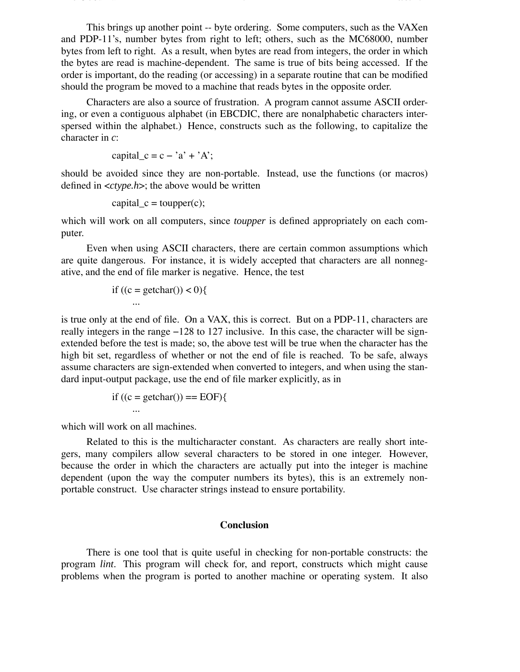This brings up another point -- byte ordering. Some computers, such as the VAXen and PDP-11's, number bytes from right to left; others, such as the MC68000, number bytes from left to right. As a result, when bytes are read from integers, the order in which the bytes are read is machine-dependent. The same is true of bits being accessed. If the order is important, do the reading (or accessing) in a separate routine that can be modified should the program be moved to a machine that reads bytes in the opposite order.

The C Journal 7 8/5/104 (1999) in the C Journal 7 8/5/104 (1999) in the C Journal 7 8/5/104 (1999) in the C Journal 7 8/5/104 (1999) in the C Journal of the C Journal 7 8/5/104 (1999) in the C Journal 7 8/5/104 (1999) in t

Characters are also a source of frustration. A program cannot assume ASCII ordering, or even a contiguous alphabet (in EBCDIC, there are nonalphabetic characters interspersed within the alphabet.) Hence, constructs such as the following, to capitalize the character in *c*:

capital  $c = c - 'a' + 'A';$ 

should be avoided since they are non-portable. Instead, use the functions (or macros) defined in <*ctype.h*>; the above would be written

$$
capital_c = \text{topper}(c);
$$

which will work on all computers, since *toupper* is defined appropriately on each computer.

Even when using ASCII characters, there are certain common assumptions which are quite dangerous. For instance, it is widely accepted that characters are all nonnegative, and the end of file marker is negative. Hence, the test

if 
$$
((c = getchar()) < 0)
$$
{  
...

is true only at the end of file. On a VAX, this is correct. But on a PDP-11, characters are really integers in the range −128 to 127 inclusive. In this case, the character will be signextended before the test is made; so, the above test will be true when the character has the high bit set, regardless of whether or not the end of file is reached. To be safe, always assume characters are sign-extended when converted to integers, and when using the standard input-output package, use the end of file marker explicitly, as in

if ((c = getchar()) == EOF){ ...

which will work on all machines.

Related to this is the multicharacter constant. As characters are really short integers, many compilers allow several characters to be stored in one integer. However, because the order in which the characters are actually put into the integer is machine dependent (upon the way the computer numbers its bytes), this is an extremely nonportable construct. Use character strings instead to ensure portability.

#### **Conclusion**

There is one tool that is quite useful in checking for non-portable constructs: the program *lint*. This program will check for, and report, constructs which might cause problems when the program is ported to another machine or operating system. It also